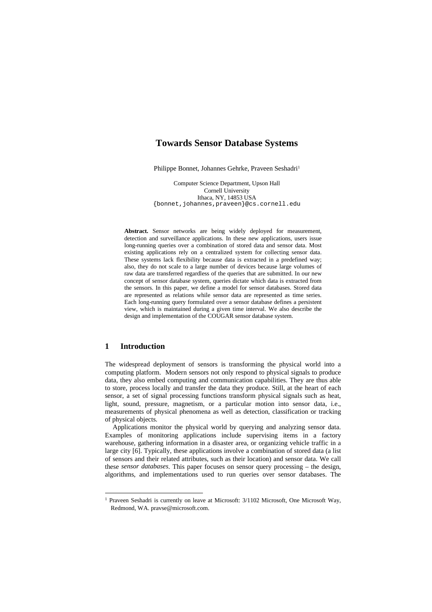# **Towards Sensor Database Systems**

Philippe Bonnet, Johannes Gehrke, Praveen Seshadri<sup>1</sup>

Computer Science Department, Upson Hall Cornell University Ithaca, NY, 14853 USA {bonnet,johannes,praveen}@cs.cornell.edu

**Abstract.** Sensor networks are being widely deployed for measurement, detection and surveillance applications. In these new applications, users issue long-running queries over a combination of stored data and sensor data. Most existing applications rely on a centralized system for collecting sensor data. These systems lack flexibility because data is extracted in a predefined way; also, they do not scale to a large number of devices because large volumes of raw data are transferred regardless of the queries that are submitted. In our new concept of sensor database system, queries dictate which data is extracted from the sensors. In this paper, we define a model for sensor databases. Stored data are represented as relations while sensor data are represented as time series. Each long-running query formulated over a sensor database defines a persistent view, which is maintained during a given time interval. We also describe the design and implementation of the COUGAR sensor database system.

# **1 Introduction**

 $\overline{a}$ 

The widespread deployment of sensors is transforming the physical world into a computing platform. Modern sensors not only respond to physical signals to produce data, they also embed computing and communication capabilities. They are thus able to store, process locally and transfer the data they produce. Still, at the heart of each sensor, a set of signal processing functions transform physical signals such as heat, light, sound, pressure, magnetism, or a particular motion into sensor data, i.e., measurements of physical phenomena as well as detection, classification or tracking of physical objects.

Applications monitor the physical world by querying and analyzing sensor data. Examples of monitoring applications include supervising items in a factory warehouse, gathering information in a disaster area, or organizing vehicle traffic in a large city [6]. Typically, these applications involve a combination of stored data (a list of sensors and their related attributes, such as their location) and sensor data. We call these *sensor databases*. This paper focuses on sensor query processing – the design, algorithms, and implementations used to run queries over sensor databases. The

<sup>&</sup>lt;sup>1</sup> Praveen Seshadri is currently on leave at Microsoft:  $3/1102$  Microsoft, One Microsoft Way, Redmond, WA. pravse@microsoft.com.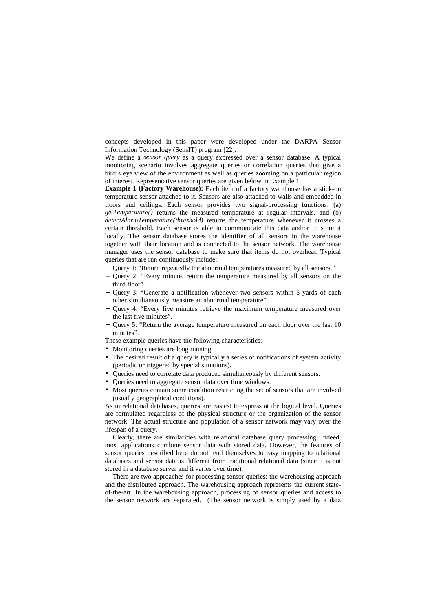concepts developed in this paper were developed under the DARPA Sensor Information Technology (SensIT) program [22].

We define a *sensor query* as a query expressed over a sensor database. A typical monitoring scenario involves aggregate queries or correlation queries that give a bird's eye view of the environment as well as queries zooming on a particular region of interest. Representative sensor queries are given below in Example 1.

**Example 1 (Factory Warehouse):** Each item of a factory warehouse has a stick-on temperature sensor attached to it. Sensors are also attached to walls and embedded in floors and ceilings. Each sensor provides two signal-processing functions: (a) *getTemperature()* returns the measured temperature at regular intervals, and (b) *detectAlarmTemperature(threshold)* returns the temperature whenever it crosses a certain threshold. Each sensor is able to communicate this data and/or to store it locally. The sensor database stores the identifier of all sensors in the warehouse together with their location and is connected to the sensor network. The warehouse manager uses the sensor database to make sure that items do not overheat. Typical queries that are run continuously include:

− Query 1: "Return repeatedly the abnormal temperatures measured by all sensors."

- − Query 2: "Every minute, return the temperature measured by all sensors on the third floor".
- − Query 3: "Generate a notification whenever two sensors within 5 yards of each other simultaneously measure an abnormal temperature".
- Query 4: "Every five minutes retrieve the maximum temperature measured over the last five minutes".
- − Query 5: "Return the average temperature measured on each floor over the last 10 minutes".

These example queries have the following characteristics:

- Monitoring queries are long running.
- The desired result of a query is typically a series of notifications of system activity (periodic or triggered by special situations).
- Queries need to correlate data produced simultaneously by different sensors.
- Queries need to aggregate sensor data over time windows.
- Most queries contain some condition restricting the set of sensors that are involved (usually geographical conditions).

As in relational databases, queries are easiest to express at the logical level. Queries are formulated regardless of the physical structure or the organization of the sensor network. The actual structure and population of a sensor network may vary over the lifespan of a query.

Clearly, there are similarities with relational database query processing. Indeed, most applications combine sensor data with stored data. However, the features of sensor queries described here do not lend themselves to easy mapping to relational databases and sensor data is different from traditional relational data (since it is not stored in a database server and it varies over time).

There are two approaches for processing sensor queries: the warehousing approach and the distributed approach. The warehousing approach represents the current stateof-the-art. In the warehousing approach, processing of sensor queries and access to the sensor network are separated. (The sensor network is simply used by a data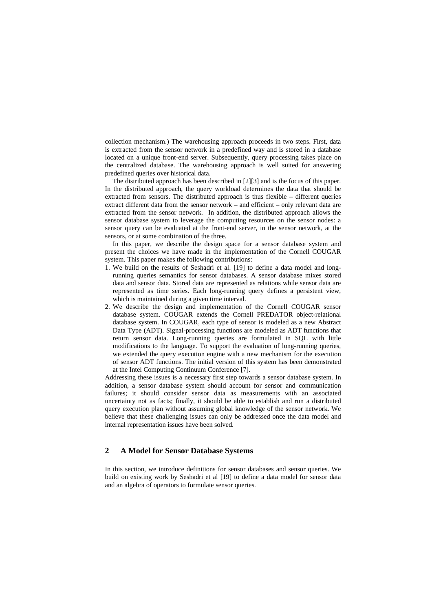collection mechanism.) The warehousing approach proceeds in two steps. First, data is extracted from the sensor network in a predefined way and is stored in a database located on a unique front-end server. Subsequently, query processing takes place on the centralized database. The warehousing approach is well suited for answering predefined queries over historical data.

The distributed approach has been described in [2][3] and is the focus of this paper. In the distributed approach, the query workload determines the data that should be extracted from sensors. The distributed approach is thus flexible – different queries extract different data from the sensor network – and efficient – only relevant data are extracted from the sensor network. In addition, the distributed approach allows the sensor database system to leverage the computing resources on the sensor nodes: a sensor query can be evaluated at the front-end server, in the sensor network, at the sensors, or at some combination of the three.

In this paper, we describe the design space for a sensor database system and present the choices we have made in the implementation of the Cornell COUGAR system. This paper makes the following contributions:

- 1. We build on the results of Seshadri et al. [19] to define a data model and longrunning queries semantics for sensor databases. A sensor database mixes stored data and sensor data. Stored data are represented as relations while sensor data are represented as time series. Each long-running query defines a persistent view, which is maintained during a given time interval.
- 2. We describe the design and implementation of the Cornell COUGAR sensor database system. COUGAR extends the Cornell PREDATOR object-relational database system. In COUGAR, each type of sensor is modeled as a new Abstract Data Type (ADT). Signal-processing functions are modeled as ADT functions that return sensor data. Long-running queries are formulated in SQL with little modifications to the language. To support the evaluation of long-running queries, we extended the query execution engine with a new mechanism for the execution of sensor ADT functions. The initial version of this system has been demonstrated at the Intel Computing Continuum Conference [7].

Addressing these issues is a necessary first step towards a sensor database system. In addition, a sensor database system should account for sensor and communication failures; it should consider sensor data as measurements with an associated uncertainty not as facts; finally, it should be able to establish and run a distributed query execution plan without assuming global knowledge of the sensor network. We believe that these challenging issues can only be addressed once the data model and internal representation issues have been solved.

# **2 A Model for Sensor Database Systems**

In this section, we introduce definitions for sensor databases and sensor queries. We build on existing work by Seshadri et al [19] to define a data model for sensor data and an algebra of operators to formulate sensor queries.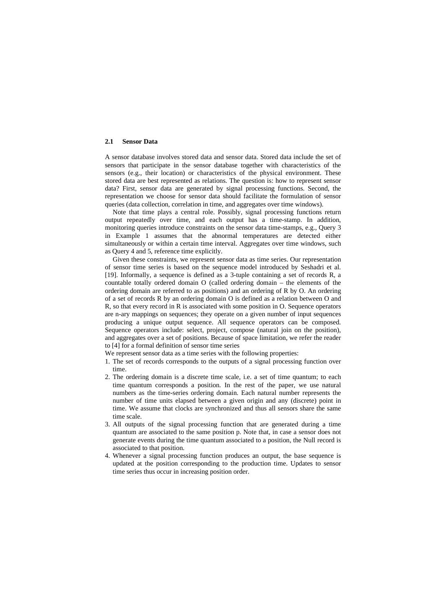### **2.1 Sensor Data**

A sensor database involves stored data and sensor data. Stored data include the set of sensors that participate in the sensor database together with characteristics of the sensors (e.g., their location) or characteristics of the physical environment. These stored data are best represented as relations. The question is: how to represent sensor data? First, sensor data are generated by signal processing functions. Second, the representation we choose for sensor data should facilitate the formulation of sensor queries (data collection, correlation in time, and aggregates over time windows).

Note that time plays a central role. Possibly, signal processing functions return output repeatedly over time, and each output has a time-stamp. In addition, monitoring queries introduce constraints on the sensor data time-stamps, e.g., Query 3 in Example 1 assumes that the abnormal temperatures are detected either simultaneously or within a certain time interval. Aggregates over time windows, such as Query 4 and 5, reference time explicitly.

Given these constraints, we represent sensor data as time series. Our representation of sensor time series is based on the sequence model introduced by Seshadri et al. [19]. Informally, a sequence is defined as a 3-tuple containing a set of records R, a countable totally ordered domain O (called ordering domain – the elements of the ordering domain are referred to as positions) and an ordering of R by O. An ordering of a set of records R by an ordering domain O is defined as a relation between O and R, so that every record in R is associated with some position in O. Sequence operators are n-ary mappings on sequences; they operate on a given number of input sequences producing a unique output sequence. All sequence operators can be composed. Sequence operators include: select, project, compose (natural join on the position), and aggregates over a set of positions. Because of space limitation, we refer the reader to [4] for a formal definition of sensor time series

We represent sensor data as a time series with the following properties:

- 1. The set of records corresponds to the outputs of a signal processing function over time.
- 2. The ordering domain is a discrete time scale, i.e. a set of time quantum; to each time quantum corresponds a position. In the rest of the paper, we use natural numbers as the time-series ordering domain. Each natural number represents the number of time units elapsed between a given origin and any (discrete) point in time. We assume that clocks are synchronized and thus all sensors share the same time scale.
- 3. All outputs of the signal processing function that are generated during a time quantum are associated to the same position p. Note that, in case a sensor does not generate events during the time quantum associated to a position, the Null record is associated to that position.
- 4. Whenever a signal processing function produces an output, the base sequence is updated at the position corresponding to the production time. Updates to sensor time series thus occur in increasing position order.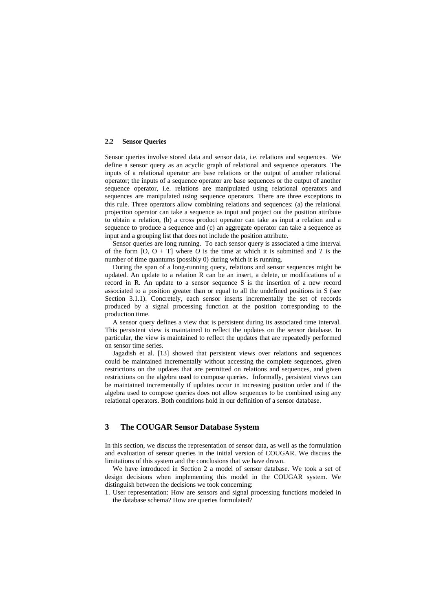#### **2.2 Sensor Queries**

Sensor queries involve stored data and sensor data, i.e. relations and sequences. We define a sensor query as an acyclic graph of relational and sequence operators. The inputs of a relational operator are base relations or the output of another relational operator; the inputs of a sequence operator are base sequences or the output of another sequence operator, i.e. relations are manipulated using relational operators and sequences are manipulated using sequence operators. There are three exceptions to this rule. Three operators allow combining relations and sequences: (a) the relational projection operator can take a sequence as input and project out the position attribute to obtain a relation, (b) a cross product operator can take as input a relation and a sequence to produce a sequence and (c) an aggregate operator can take a sequence as input and a grouping list that does not include the position attribute.

Sensor queries are long running. To each sensor query is associated a time interval of the form  $[0, 0 + T]$  where O is the time at which it is submitted and T is the number of time quantums (possibly 0) during which it is running.

During the span of a long-running query, relations and sensor sequences might be updated. An update to a relation R can be an insert, a delete, or modifications of a record in R. An update to a sensor sequence S is the insertion of a new record associated to a position greater than or equal to all the undefined positions in S (see Section 3.1.1). Concretely, each sensor inserts incrementally the set of records produced by a signal processing function at the position corresponding to the production time.

A sensor query defines a view that is persistent during its associated time interval. This persistent view is maintained to reflect the updates on the sensor database. In particular, the view is maintained to reflect the updates that are repeatedly performed on sensor time series.

Jagadish et al. [13] showed that persistent views over relations and sequences could be maintained incrementally without accessing the complete sequences, given restrictions on the updates that are permitted on relations and sequences, and given restrictions on the algebra used to compose queries. Informally, persistent views can be maintained incrementally if updates occur in increasing position order and if the algebra used to compose queries does not allow sequences to be combined using any relational operators. Both conditions hold in our definition of a sensor database.

# **3 The COUGAR Sensor Database System**

In this section, we discuss the representation of sensor data, as well as the formulation and evaluation of sensor queries in the initial version of COUGAR. We discuss the limitations of this system and the conclusions that we have drawn.

We have introduced in Section 2 a model of sensor database. We took a set of design decisions when implementing this model in the COUGAR system. We distinguish between the decisions we took concerning:

1. User representation: How are sensors and signal processing functions modeled in the database schema? How are queries formulated?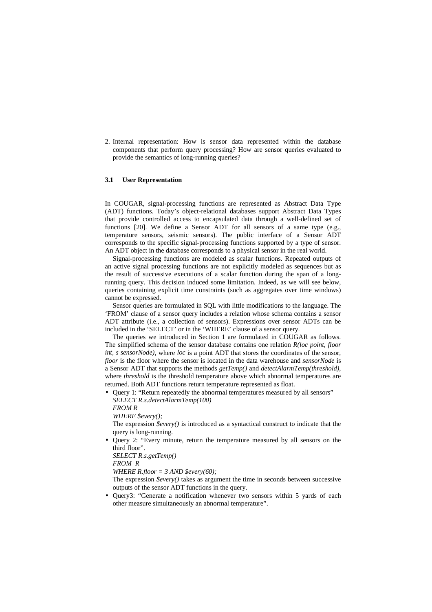2. Internal representation: How is sensor data represented within the database components that perform query processing? How are sensor queries evaluated to provide the semantics of long-running queries?

#### **3.1 User Representation**

In COUGAR, signal-processing functions are represented as Abstract Data Type (ADT) functions. Today's object-relational databases support Abstract Data Types that provide controlled access to encapsulated data through a well-defined set of functions [20]. We define a Sensor ADT for all sensors of a same type (e.g., temperature sensors, seismic sensors). The public interface of a Sensor ADT corresponds to the specific signal-processing functions supported by a type of sensor. An ADT object in the database corresponds to a physical sensor in the real world.

Signal-processing functions are modeled as scalar functions. Repeated outputs of an active signal processing functions are not explicitly modeled as sequences but as the result of successive executions of a scalar function during the span of a longrunning query. This decision induced some limitation. Indeed, as we will see below, queries containing explicit time constraints (such as aggregates over time windows) cannot be expressed.

Sensor queries are formulated in SQL with little modifications to the language. The 'FROM' clause of a sensor query includes a relation whose schema contains a sensor ADT attribute (i.e., a collection of sensors). Expressions over sensor ADTs can be included in the 'SELECT' or in the 'WHERE' clause of a sensor query.

The queries we introduced in Section 1 are formulated in COUGAR as follows. The simplified schema of the sensor database contains one relation *R(loc point, floor int, s sensorNode)*, where *loc* is a point ADT that stores the coordinates of the sensor, *floor* is the floor where the sensor is located in the data warehouse and *sensorNode* is a Sensor ADT that supports the methods *getTemp()* and *detectAlarmTemp(threshold)*, where *threshold* is the threshold temperature above which abnormal temperatures are returned. Both ADT functions return temperature represented as float.

- Query 1: "Return repeatedly the abnormal temperatures measured by all sensors" *SELECT R.s.detectAlarmTemp(100)*
	- *FROM R*
	- *WHERE \$every();*

The expression *\$every()* is introduced as a syntactical construct to indicate that the query is long-running.

• Query 2: "Every minute, return the temperature measured by all sensors on the third floor".

*SELECT R.s.getTemp() FROM R*

*WHERE R.floor = 3 AND \$every(60);*

The expression *\$every()* takes as argument the time in seconds between successive outputs of the sensor ADT functions in the query.

• Query3: "Generate a notification whenever two sensors within 5 yards of each other measure simultaneously an abnormal temperature".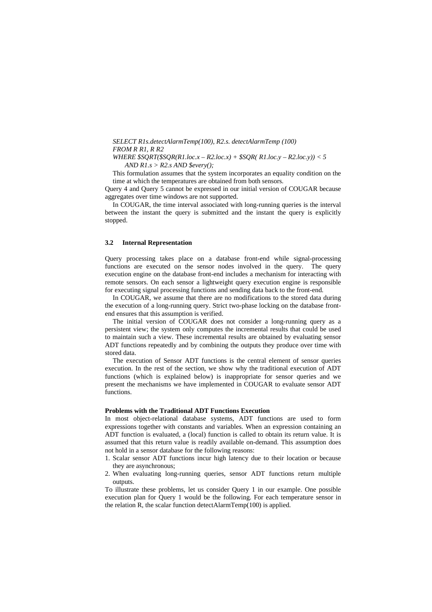# *SELECT R1s.detectAlarmTemp(100), R2.s. detectAlarmTemp (100) FROM R R1, R R2*

 $WHERE$   $$SORT($OR(R1, loc.x - R2, loc.x) + $SOR(R1, loc.y - R2, loc.y)$   $<$  5 *AND R1.s > R2.s AND \$every();*

This formulation assumes that the system incorporates an equality condition on the time at which the temperatures are obtained from both sensors.

Query 4 and Query 5 cannot be expressed in our initial version of COUGAR because aggregates over time windows are not supported.

In COUGAR, the time interval associated with long-running queries is the interval between the instant the query is submitted and the instant the query is explicitly stopped.

# **3.2 Internal Representation**

Query processing takes place on a database front-end while signal-processing functions are executed on the sensor nodes involved in the query. The query execution engine on the database front-end includes a mechanism for interacting with remote sensors. On each sensor a lightweight query execution engine is responsible for executing signal processing functions and sending data back to the front-end.

In COUGAR, we assume that there are no modifications to the stored data during the execution of a long-running query. Strict two-phase locking on the database frontend ensures that this assumption is verified.

The initial version of COUGAR does not consider a long-running query as a persistent view; the system only computes the incremental results that could be used to maintain such a view. These incremental results are obtained by evaluating sensor ADT functions repeatedly and by combining the outputs they produce over time with stored data.

The execution of Sensor ADT functions is the central element of sensor queries execution. In the rest of the section, we show why the traditional execution of ADT functions (which is explained below) is inappropriate for sensor queries and we present the mechanisms we have implemented in COUGAR to evaluate sensor ADT functions.

#### **Problems with the Traditional ADT Functions Execution**

In most object-relational database systems, ADT functions are used to form expressions together with constants and variables. When an expression containing an ADT function is evaluated, a (local) function is called to obtain its return value. It is assumed that this return value is readily available on-demand. This assumption does not hold in a sensor database for the following reasons:

- 1. Scalar sensor ADT functions incur high latency due to their location or because they are asynchronous;
- 2. When evaluating long-running queries, sensor ADT functions return multiple outputs.

To illustrate these problems, let us consider Query 1 in our example. One possible execution plan for Query 1 would be the following. For each temperature sensor in the relation R, the scalar function detectAlarmTemp(100) is applied.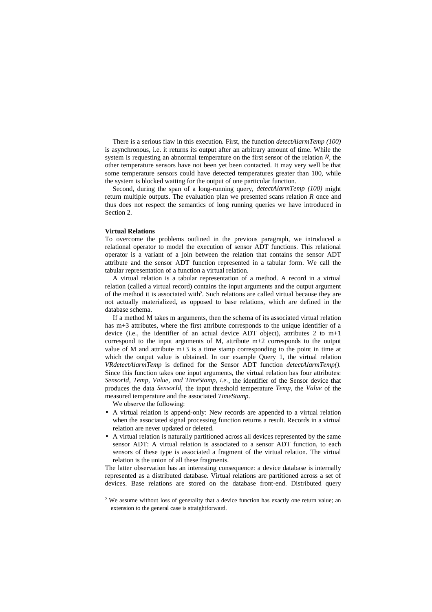There is a serious flaw in this execution. First, the function *detectAlarmTemp (100)* is asynchronous, i.e. it returns its output after an arbitrary amount of time. While the system is requesting an abnormal temperature on the first sensor of the relation *R*, the other temperature sensors have not been yet been contacted. It may very well be that some temperature sensors could have detected temperatures greater than 100, while the system is blocked waiting for the output of one particular function.

Second, during the span of a long-running query, *detectAlarmTemp (100)* might return multiple outputs. The evaluation plan we presented scans relation *R* once and thus does not respect the semantics of long running queries we have introduced in Section 2.

#### **Virtual Relations**

To overcome the problems outlined in the previous paragraph, we introduced a relational operator to model the execution of sensor ADT functions. This relational operator is a variant of a join between the relation that contains the sensor ADT attribute and the sensor ADT function represented in a tabular form. We call the tabular representation of a function a virtual relation.

A virtual relation is a tabular representation of a method. A record in a virtual relation (called a virtual record) contains the input arguments and the output argument of the method it is associated with 2 . Such relations are called virtual because they are not actually materialized, as opposed to base relations, which are defined in the database schema.

If a method M takes m arguments, then the schema of its associated virtual relation has m+3 attributes, where the first attribute corresponds to the unique identifier of a device (i.e., the identifier of an actual device ADT object), attributes 2 to m+1 correspond to the input arguments of M, attribute  $m+2$  corresponds to the output value of M and attribute m+3 is a time stamp corresponding to the point in time at which the output value is obtained. In our example Query 1, the virtual relation *VRdetectAlarmTemp* is defined for the Sensor ADT function *detectAlarmTemp().* Since this function takes one input arguments, the virtual relation has four attributes: *SensorId, Temp, Value, and TimeStamp, i.e.*, the identifier of the Sensor device that produces the data *SensorId*, the input threshold temperature *Temp*, the *Value* of the measured temperature and the associated *TimeStamp*.

We observe the following:

 $\overline{a}$ 

- A virtual relation is append-only: New records are appended to a virtual relation when the associated signal processing function returns a result. Records in a virtual relation are never updated or deleted.
- A virtual relation is naturally partitioned across all devices represented by the same sensor ADT: A virtual relation is associated to a sensor ADT function, to each sensors of these type is associated a fragment of the virtual relation. The virtual relation is the union of all these fragments.

The latter observation has an interesting consequence: a device database is internally represented as a distributed database. Virtual relations are partitioned across a set of devices. Base relations are stored on the database front-end. Distributed query

<sup>&</sup>lt;sup>2</sup> We assume without loss of generality that a device function has exactly one return value; an extension to the general case is straightforward.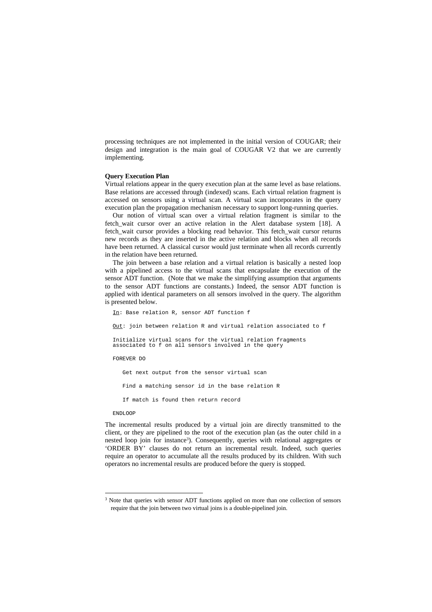processing techniques are not implemented in the initial version of COUGAR; their design and integration is the main goal of COUGAR V2 that we are currently implementing.

#### **Query Execution Plan**

Virtual relations appear in the query execution plan at the same level as base relations. Base relations are accessed through (indexed) scans. Each virtual relation fragment is accessed on sensors using a virtual scan. A virtual scan incorporates in the query execution plan the propagation mechanism necessary to support long-running queries.

Our notion of virtual scan over a virtual relation fragment is similar to the fetch\_wait cursor over an active relation in the Alert database system [18]. A fetch\_wait cursor provides a blocking read behavior. This fetch\_wait cursor returns new records as they are inserted in the active relation and blocks when all records have been returned. A classical cursor would just terminate when all records currently in the relation have been returned.

The join between a base relation and a virtual relation is basically a nested loop with a pipelined access to the virtual scans that encapsulate the execution of the sensor ADT function. (Note that we make the simplifying assumption that arguments to the sensor ADT functions are constants.) Indeed, the sensor ADT function is applied with identical parameters on all sensors involved in the query. The algorithm is presented below.

In: Base relation R, sensor ADT function f

Out: join between relation R and virtual relation associated to f

Initialize virtual scans for the virtual relation fragments associated to f on all sensors involved in the query

FOREVER DO

Get next output from the sensor virtual scan

Find a matching sensor id in the base relation R

If match is found then return record

ENDLOOP

 $\overline{a}$ 

The incremental results produced by a virtual join are directly transmitted to the client, or they are pipelined to the root of the execution plan (as the outer child in a nested loop join for instance 3 ). Consequently, queries with relational aggregates or 'ORDER BY' clauses do not return an incremental result. Indeed, such queries require an operator to accumulate all the results produced by its children. With such operators no incremental results are produced before the query is stopped.

<sup>&</sup>lt;sup>3</sup> Note that queries with sensor ADT functions applied on more than one collection of sensors require that the join between two virtual joins is a double-pipelined join.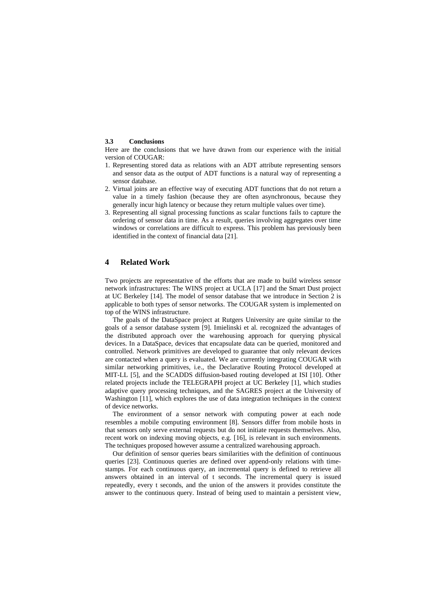## **3.3 Conclusions**

Here are the conclusions that we have drawn from our experience with the initial version of COUGAR:

- 1. Representing stored data as relations with an ADT attribute representing sensors and sensor data as the output of ADT functions is a natural way of representing a sensor database.
- 2. Virtual joins are an effective way of executing ADT functions that do not return a value in a timely fashion (because they are often asynchronous, because they generally incur high latency or because they return multiple values over time).
- 3. Representing all signal processing functions as scalar functions fails to capture the ordering of sensor data in time. As a result, queries involving aggregates over time windows or correlations are difficult to express. This problem has previously been identified in the context of financial data [21].

### **4 Related Work**

Two projects are representative of the efforts that are made to build wireless sensor network infrastructures: The WINS project at UCLA [17] and the Smart Dust project at UC Berkeley [14]. The model of sensor database that we introduce in Section 2 is applicable to both types of sensor networks. The COUGAR system is implemented on top of the WINS infrastructure.

The goals of the DataSpace project at Rutgers University are quite similar to the goals of a sensor database system [9]. Imielinski et al. recognized the advantages of the distributed approach over the warehousing approach for querying physical devices. In a DataSpace, devices that encapsulate data can be queried, monitored and controlled. Network primitives are developed to guarantee that only relevant devices are contacted when a query is evaluated. We are currently integrating COUGAR with similar networking primitives, i.e., the Declarative Routing Protocol developed at MIT-LL [5], and the SCADDS diffusion-based routing developed at ISI [10]. Other related projects include the TELEGRAPH project at UC Berkeley [1], which studies adaptive query processing techniques, and the SAGRES project at the University of Washington [11], which explores the use of data integration techniques in the context of device networks.

The environment of a sensor network with computing power at each node resembles a mobile computing environment [8]. Sensors differ from mobile hosts in that sensors only serve external requests but do not initiate requests themselves. Also, recent work on indexing moving objects, e.g. [16], is relevant in such environments. The techniques proposed however assume a centralized warehousing approach.

Our definition of sensor queries bears similarities with the definition of continuous queries [23]. Continuous queries are defined over append-only relations with timestamps. For each continuous query, an incremental query is defined to retrieve all answers obtained in an interval of t seconds. The incremental query is issued repeatedly, every t seconds, and the union of the answers it provides constitute the answer to the continuous query. Instead of being used to maintain a persistent view,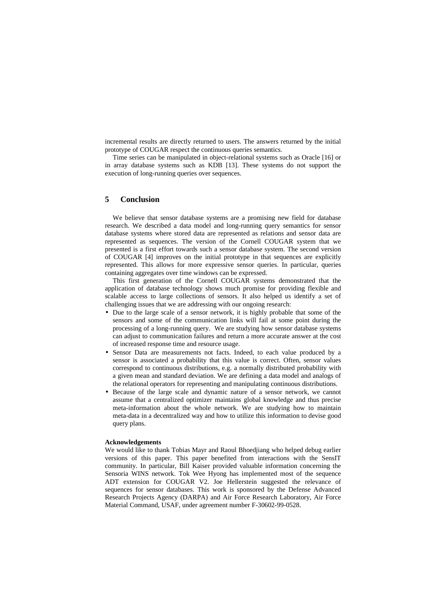incremental results are directly returned to users. The answers returned by the initial prototype of COUGAR respect the continuous queries semantics.

Time series can be manipulated in object-relational systems such as Oracle [16] or in array database systems such as KDB [13]. These systems do not support the execution of long-running queries over sequences.

# **5 Conclusion**

We believe that sensor database systems are a promising new field for database research. We described a data model and long-running query semantics for sensor database systems where stored data are represented as relations and sensor data are represented as sequences. The version of the Cornell COUGAR system that we presented is a first effort towards such a sensor database system. The second version of COUGAR [4] improves on the initial prototype in that sequences are explicitly represented. This allows for more expressive sensor queries. In particular, queries containing aggregates over time windows can be expressed.

This first generation of the Cornell COUGAR systems demonstrated that the application of database technology shows much promise for providing flexible and scalable access to large collections of sensors. It also helped us identify a set of challenging issues that we are addressing with our ongoing research:

- Due to the large scale of a sensor network, it is highly probable that some of the sensors and some of the communication links will fail at some point during the processing of a long-running query. We are studying how sensor database systems can adjust to communication failures and return a more accurate answer at the cost of increased response time and resource usage.
- Sensor Data are measurements not facts. Indeed, to each value produced by a sensor is associated a probability that this value is correct. Often, sensor values correspond to continuous distributions, e.g. a normally distributed probability with a given mean and standard deviation. We are defining a data model and analogs of the relational operators for representing and manipulating continuous distributions.
- Because of the large scale and dynamic nature of a sensor network, we cannot assume that a centralized optimizer maintains global knowledge and thus precise meta-information about the whole network. We are studying how to maintain meta-data in a decentralized way and how to utilize this information to devise good query plans.

#### **Acknowledgements**

We would like to thank Tobias Mayr and Raoul Bhoedjiang who helped debug earlier versions of this paper. This paper benefited from interactions with the SensIT community. In particular, Bill Kaiser provided valuable information concerning the Sensoria WINS network. Tok Wee Hyong has implemented most of the sequence ADT extension for COUGAR V2. Joe Hellerstein suggested the relevance of sequences for sensor databases. This work is sponsored by the Defense Advanced Research Projects Agency (DARPA) and Air Force Research Laboratory, Air Force Material Command, USAF, under agreement number F-30602-99-0528.